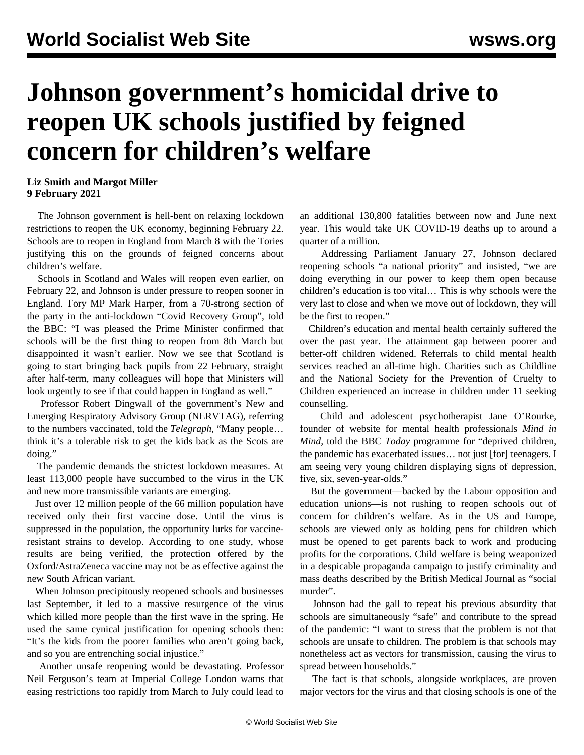## **Johnson government's homicidal drive to reopen UK schools justified by feigned concern for children's welfare**

## **Liz Smith and Margot Miller 9 February 2021**

 The Johnson government is hell-bent on relaxing lockdown restrictions to reopen the UK economy, beginning February 22. Schools are to reopen in England from March 8 with the Tories justifying this on the grounds of feigned concerns about children's welfare.

 Schools in Scotland and Wales will reopen even earlier, on February 22, and Johnson is under pressure to reopen sooner in England. Tory MP Mark Harper, from a 70-strong section of the party in the anti-lockdown "Covid Recovery Group", told the BBC: "I was pleased the Prime Minister confirmed that schools will be the first thing to reopen from 8th March but disappointed it wasn't earlier. Now we see that Scotland is going to start bringing back pupils from 22 February, straight after half-term, many colleagues will hope that Ministers will look urgently to see if that could happen in England as well."

 Professor Robert Dingwall of the government's New and Emerging Respiratory Advisory Group (NERVTAG), referring to the numbers vaccinated, told the *Telegraph,* "Many people… think it's a tolerable risk to get the kids back as the Scots are doing."

 The pandemic demands the strictest lockdown measures. At least 113,000 people have succumbed to the virus in the UK and new more transmissible variants are emerging.

 Just over 12 million people of the 66 million population have received only their first vaccine dose. Until the virus is suppressed in the population, the opportunity lurks for vaccineresistant strains to develop. According to one study, whose results are being verified, the protection offered by the Oxford/AstraZeneca vaccine may not be as effective against the new South African variant.

 When Johnson precipitously reopened schools and businesses last September, it led to a massive resurgence of the virus which killed more people than the first wave in the spring. He used the same cynical justification for opening schools then: "It's the kids from the poorer families who aren't going back, and so you are entrenching social injustice."

 Another unsafe reopening would be devastating. Professor Neil Ferguson's team at Imperial College London warns that easing restrictions too rapidly from March to July could lead to an additional 130,800 fatalities between now and June next year. This would take UK COVID-19 deaths up to around a quarter of a million.

 Addressing Parliament January 27, Johnson declared reopening schools "a national priority" and insisted, "we are doing everything in our power to keep them open because children's education is too vital… This is why schools were the very last to close and when we move out of lockdown, they will be the first to reopen."

 Children's education and mental health certainly suffered the over the past year. The attainment gap between poorer and better-off children widened. Referrals to child mental health services reached an all-time high. Charities such as Childline and the National Society for the Prevention of Cruelty to Children experienced an increase in children under 11 seeking counselling.

 Child and adolescent psychotherapist Jane O'Rourke, founder of website for mental health professionals *Mind in Mind,* told the BBC *Today* programme for "deprived children, the pandemic has exacerbated issues… not just [for] teenagers. I am seeing very young children displaying signs of depression, five, six, seven-year-olds."

 But the government—backed by the Labour opposition and education unions—is not rushing to reopen schools out of concern for children's welfare. As in the US and Europe, schools are viewed only as holding pens for children which must be opened to get parents back to work and producing profits for the corporations. Child welfare is being weaponized in a despicable propaganda campaign to justify criminality and mass deaths described by the [British Medical Journal](/en/articles/2021/02/08/pers-f08.html) as "social murder".

 Johnson had the gall to repeat his previous absurdity that schools are simultaneously "safe" and contribute to the spread of the pandemic: "I want to stress that the problem is not that schools are unsafe to children. The problem is that schools may nonetheless act as vectors for transmission, causing the virus to spread between households."

 The fact is that schools, alongside workplaces, are [proven](/en/articles/2021/01/21/scho-j21.html) major vectors for the virus and that closing schools is one of the